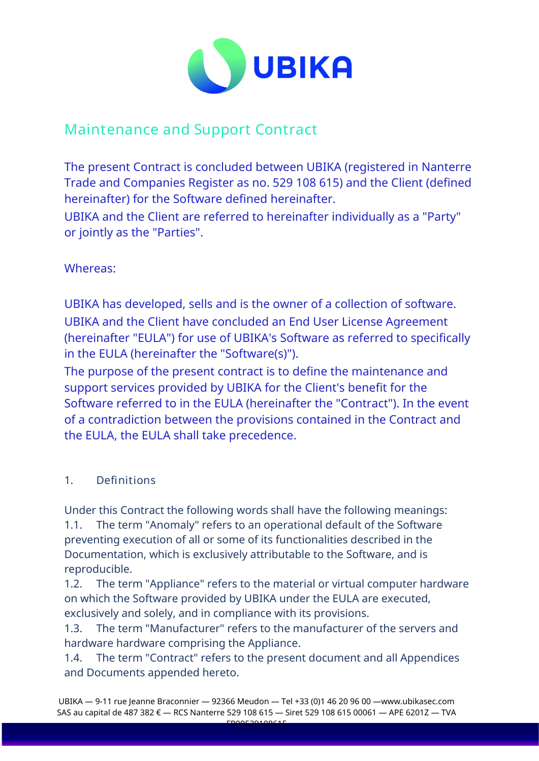

# Maintenance and Support Contract

The present Contract is concluded between UBIKA (registered in Nanterre Trade and Companies Register as no. 529 108 615) and the Client (defined hereinafter) for the Software defined hereinafter.

UBIKA and the Client are referred to hereinafter individually as a "Party" or jointly as the "Parties".

# Whereas:

UBIKA has developed, sells and is the owner of a collection of software. UBIKA and the Client have concluded an End User License Agreement (hereinafter "EULA") for use of UBIKA's Software as referred to specifically in the EULA (hereinafter the "Software(s)").

The purpose of the present contract is to define the maintenance and support services provided by UBIKA for the Client's benefit for the Software referred to in the EULA (hereinafter the "Contract"). In the event of a contradiction between the provisions contained in the Contract and the EULA, the EULA shall take precedence.

# 1. Definitions

Under this Contract the following words shall have the following meanings: 1.1. The term "Anomaly" refers to an operational default of the Software preventing execution of all or some of its functionalities described in the Documentation, which is exclusively attributable to the Software, and is reproducible.

1.2. The term "Appliance" refers to the material or virtual computer hardware on which the Software provided by UBIKA under the EULA are executed, exclusively and solely, and in compliance with its provisions.

1.3. The term "Manufacturer" refers to the manufacturer of the servers and hardware hardware comprising the Appliance.

1.4. The term "Contract" refers to the present document and all Appendices and Documents appended hereto.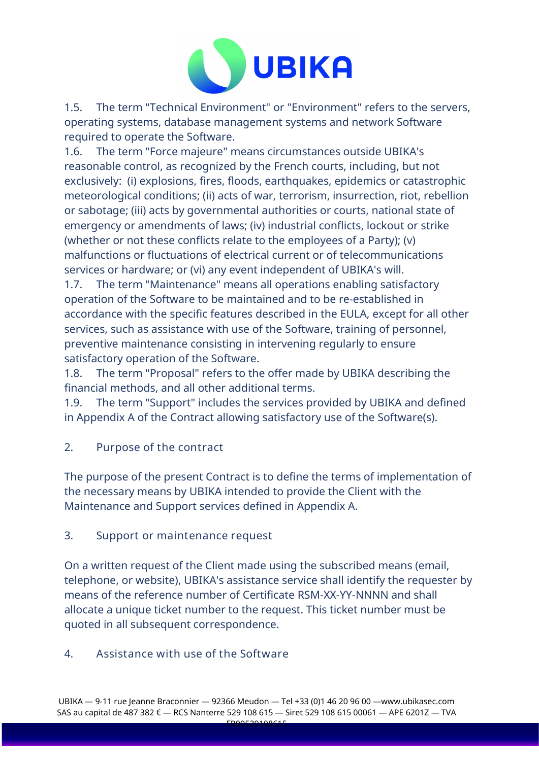

1.5. The term "Technical Environment" or "Environment" refers to the servers, operating systems, database management systems and network Software required to operate the Software.

1.6. The term "Force majeure" means circumstances outside UBIKA's reasonable control, as recognized by the French courts, including, but not exclusively: (i) explosions, fires, floods, earthquakes, epidemics or catastrophic meteorological conditions; (ii) acts of war, terrorism, insurrection, riot, rebellion or sabotage; (iii) acts by governmental authorities or courts, national state of emergency or amendments of laws; (iv) industrial conflicts, lockout or strike (whether or not these conflicts relate to the employees of a Party); (v) malfunctions or fluctuations of electrical current or of telecommunications services or hardware; or (vi) any event independent of UBIKA's will.

1.7. The term "Maintenance" means all operations enabling satisfactory operation of the Software to be maintained and to be re-established in accordance with the specific features described in the EULA, except for all other services, such as assistance with use of the Software, training of personnel, preventive maintenance consisting in intervening regularly to ensure satisfactory operation of the Software.

1.8. The term "Proposal" refers to the offer made by UBIKA describing the financial methods, and all other additional terms.

1.9. The term "Support" includes the services provided by UBIKA and defined in Appendix A of the Contract allowing satisfactory use of the Software(s).

2. Purpose of the contract

The purpose of the present Contract is to define the terms of implementation of the necessary means by UBIKA intended to provide the Client with the Maintenance and Support services defined in Appendix A.

### 3. Support or maintenance request

On a written request of the Client made using the subscribed means (email, telephone, or website), UBIKA's assistance service shall identify the requester by means of the reference number of Certificate RSM-XX-YY-NNNN and shall allocate a unique ticket number to the request. This ticket number must be quoted in all subsequent correspondence.

# 4. Assistance with use of the Software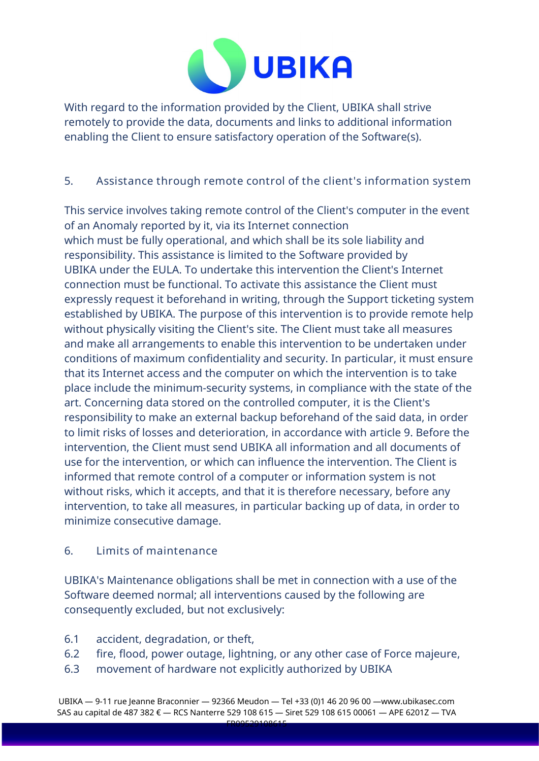

With regard to the information provided by the Client, UBIKA shall strive remotely to provide the data, documents and links to additional information enabling the Client to ensure satisfactory operation of the Software(s).

# 5. Assistance through remote control of the client's information system

This service involves taking remote control of the Client's computer in the event of an Anomaly reported by it, via its Internet connection which must be fully operational, and which shall be its sole liability and responsibility. This assistance is limited to the Software provided by UBIKA under the EULA. To undertake this intervention the Client's Internet connection must be functional. To activate this assistance the Client must expressly request it beforehand in writing, through the Support ticketing system established by UBIKA. The purpose of this intervention is to provide remote help without physically visiting the Client's site. The Client must take all measures and make all arrangements to enable this intervention to be undertaken under conditions of maximum confidentiality and security. In particular, it must ensure that its Internet access and the computer on which the intervention is to take place include the minimum-security systems, in compliance with the state of the art. Concerning data stored on the controlled computer, it is the Client's responsibility to make an external backup beforehand of the said data, in order to limit risks of losses and deterioration, in accordance with article 9. Before the intervention, the Client must send UBIKA all information and all documents of use for the intervention, or which can influence the intervention. The Client is informed that remote control of a computer or information system is not without risks, which it accepts, and that it is therefore necessary, before any intervention, to take all measures, in particular backing up of data, in order to minimize consecutive damage.

### 6. Limits of maintenance

UBIKA's Maintenance obligations shall be met in connection with a use of the Software deemed normal; all interventions caused by the following are consequently excluded, but not exclusively:

- 6.1 accident, degradation, or theft,
- 6.2 fire, flood, power outage, lightning, or any other case of Force majeure,
- 6.3 movement of hardware not explicitly authorized by UBIKA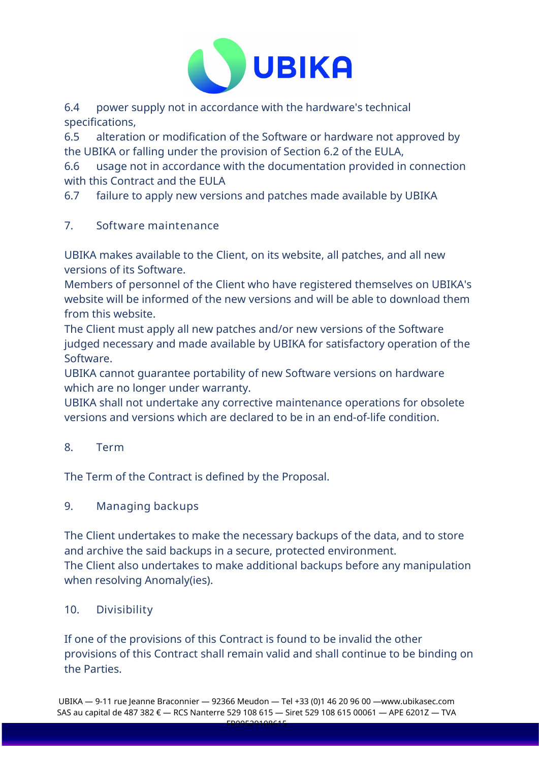

6.4 power supply not in accordance with the hardware's technical specifications,

6.5 alteration or modification of the Software or hardware not approved by the UBIKA or falling under the provision of Section 6.2 of the EULA,

6.6 usage not in accordance with the documentation provided in connection with this Contract and the EULA

6.7 failure to apply new versions and patches made available by UBIKA

7. Software maintenance

UBIKA makes available to the Client, on its website, all patches, and all new versions of its Software.

Members of personnel of the Client who have registered themselves on UBIKA's website will be informed of the new versions and will be able to download them from this website.

The Client must apply all new patches and/or new versions of the Software judged necessary and made available by UBIKA for satisfactory operation of the Software.

UBIKA cannot guarantee portability of new Software versions on hardware which are no longer under warranty.

UBIKA shall not undertake any corrective maintenance operations for obsolete versions and versions which are declared to be in an end-of-life condition.

8. Term

The Term of the Contract is defined by the Proposal.

### 9. Managing backups

The Client undertakes to make the necessary backups of the data, and to store and archive the said backups in a secure, protected environment. The Client also undertakes to make additional backups before any manipulation when resolving Anomaly(ies).

# 10. Divisibility

If one of the provisions of this Contract is found to be invalid the other provisions of this Contract shall remain valid and shall continue to be binding on the Parties.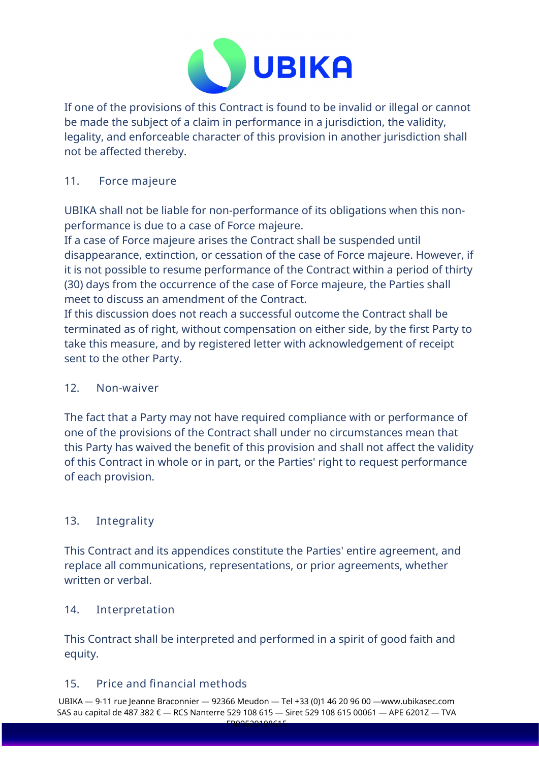

If one of the provisions of this Contract is found to be invalid or illegal or cannot be made the subject of a claim in performance in a jurisdiction, the validity, legality, and enforceable character of this provision in another jurisdiction shall not be affected thereby.

#### 11. Force majeure

UBIKA shall not be liable for non-performance of its obligations when this nonperformance is due to a case of Force majeure.

If a case of Force majeure arises the Contract shall be suspended until disappearance, extinction, or cessation of the case of Force majeure. However, if it is not possible to resume performance of the Contract within a period of thirty (30) days from the occurrence of the case of Force majeure, the Parties shall meet to discuss an amendment of the Contract.

If this discussion does not reach a successful outcome the Contract shall be terminated as of right, without compensation on either side, by the first Party to take this measure, and by registered letter with acknowledgement of receipt sent to the other Party.

#### 12. Non-waiver

The fact that a Party may not have required compliance with or performance of one of the provisions of the Contract shall under no circumstances mean that this Party has waived the benefit of this provision and shall not affect the validity of this Contract in whole or in part, or the Parties' right to request performance of each provision.

### 13. Integrality

This Contract and its appendices constitute the Parties' entire agreement, and replace all communications, representations, or prior agreements, whether written or verbal.

#### 14. Interpretation

This Contract shall be interpreted and performed in a spirit of good faith and equity.

#### 15. Price and financial methods

UBIKA — 9-11 rue Jeanne Braconnier — 92366 Meudon — Tel +33 (0)1 46 20 96 00 —www.ubikasec.com SAS au capital de 487 382 € — RCS Nanterre 529 108 615 — Siret 529 108 615 00061 — APE 6201Z — TVA  $FROOF20400645$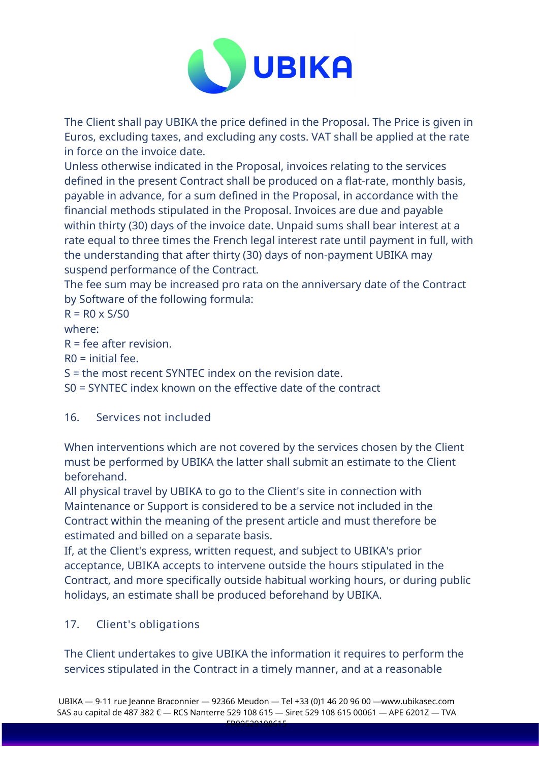

The Client shall pay UBIKA the price defined in the Proposal. The Price is given in Euros, excluding taxes, and excluding any costs. VAT shall be applied at the rate in force on the invoice date.

Unless otherwise indicated in the Proposal, invoices relating to the services defined in the present Contract shall be produced on a flat-rate, monthly basis, payable in advance, for a sum defined in the Proposal, in accordance with the financial methods stipulated in the Proposal. Invoices are due and payable within thirty (30) days of the invoice date. Unpaid sums shall bear interest at a rate equal to three times the French legal interest rate until payment in full, with the understanding that after thirty (30) days of non-payment UBIKA may suspend performance of the Contract.

The fee sum may be increased pro rata on the anniversary date of the Contract by Software of the following formula:

 $R = R0 \times S/S0$ 

where:

 $R =$  fee after revision.

 $RO = initial fee.$ 

S = the most recent SYNTEC index on the revision date.

S0 = SYNTEC index known on the effective date of the contract

# 16. Services not included

When interventions which are not covered by the services chosen by the Client must be performed by UBIKA the latter shall submit an estimate to the Client beforehand.

All physical travel by UBIKA to go to the Client's site in connection with Maintenance or Support is considered to be a service not included in the Contract within the meaning of the present article and must therefore be estimated and billed on a separate basis.

If, at the Client's express, written request, and subject to UBIKA's prior acceptance, UBIKA accepts to intervene outside the hours stipulated in the Contract, and more specifically outside habitual working hours, or during public holidays, an estimate shall be produced beforehand by UBIKA.

# 17. Client's obligations

The Client undertakes to give UBIKA the information it requires to perform the services stipulated in the Contract in a timely manner, and at a reasonable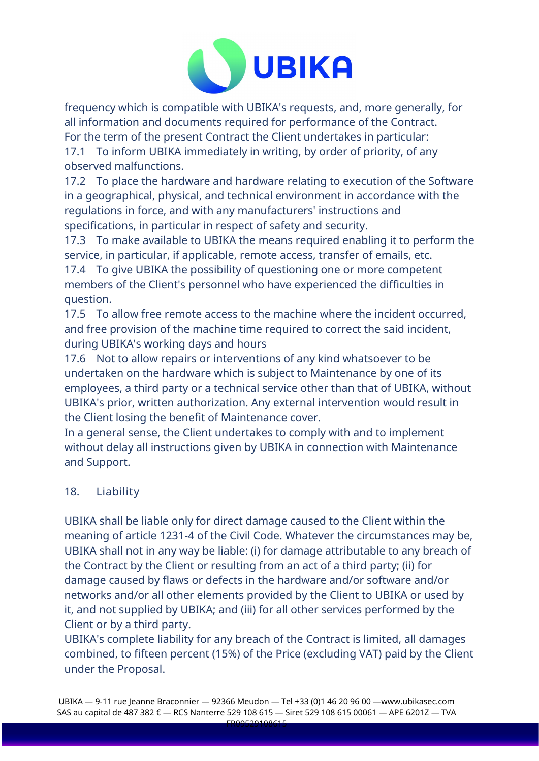

frequency which is compatible with UBIKA's requests, and, more generally, for all information and documents required for performance of the Contract. For the term of the present Contract the Client undertakes in particular:

17.1 To inform UBIKA immediately in writing, by order of priority, of any observed malfunctions.

17.2 To place the hardware and hardware relating to execution of the Software in a geographical, physical, and technical environment in accordance with the regulations in force, and with any manufacturers' instructions and specifications, in particular in respect of safety and security.

17.3 To make available to UBIKA the means required enabling it to perform the service, in particular, if applicable, remote access, transfer of emails, etc.

17.4 To give UBIKA the possibility of questioning one or more competent members of the Client's personnel who have experienced the difficulties in question.

17.5 To allow free remote access to the machine where the incident occurred, and free provision of the machine time required to correct the said incident, during UBIKA's working days and hours

17.6 Not to allow repairs or interventions of any kind whatsoever to be undertaken on the hardware which is subject to Maintenance by one of its employees, a third party or a technical service other than that of UBIKA, without UBIKA's prior, written authorization. Any external intervention would result in the Client losing the benefit of Maintenance cover.

In a general sense, the Client undertakes to comply with and to implement without delay all instructions given by UBIKA in connection with Maintenance and Support.

# 18. Liability

UBIKA shall be liable only for direct damage caused to the Client within the meaning of article 1231-4 of the Civil Code. Whatever the circumstances may be, UBIKA shall not in any way be liable: (i) for damage attributable to any breach of the Contract by the Client or resulting from an act of a third party; (ii) for damage caused by flaws or defects in the hardware and/or software and/or networks and/or all other elements provided by the Client to UBIKA or used by it, and not supplied by UBIKA; and (iii) for all other services performed by the Client or by a third party.

UBIKA's complete liability for any breach of the Contract is limited, all damages combined, to fifteen percent (15%) of the Price (excluding VAT) paid by the Client under the Proposal.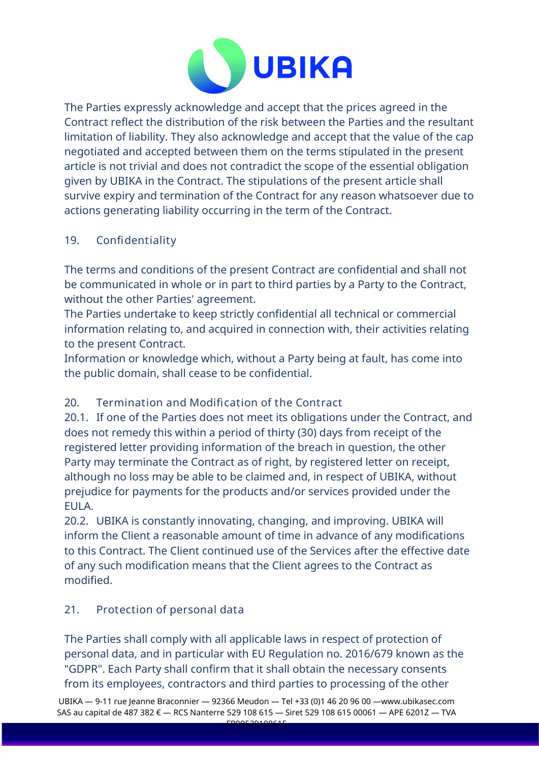

The Parties expressly acknowledge and accept that the prices agreed in the Contract reflect the distribution of the risk between the Parties and the resultant limitation of liability. They also acknowledge and accept that the value of the cap negotiated and accepted between them on the terms stipulated in the present article is not trivial and does not contradict the scope of the essential obligation given by UBIKA in the Contract. The stipulations of the present article shall survive expiry and termination of the Contract for any reason whatsoever due to actions generating liability occurring in the term of the Contract.

#### 19. Confidentiality

The terms and conditions of the present Contract are confidential and shall not be communicated in whole or in part to third parties by a Party to the Contract, without the other Parties' agreement.

The Parties undertake to keep strictly confidential all technical or commercial information relating to, and acquired in connection with, their activities relating to the present Contract.

Information or knowledge which, without a Party being at fault, has come into the public domain, shall cease to be confidential.

# 20. Termination and Modification of the Contract

20.1. If one of the Parties does not meet its obligations under the Contract, and does not remedy this within a period of thirty (30) days from receipt of the registered letter providing information of the breach in question, the other Party may terminate the Contract as of right, by registered letter on receipt, although no loss may be able to be claimed and, in respect of UBIKA, without prejudice for payments for the products and/or services provided under the EULA.

20.2. UBIKA is constantly innovating, changing, and improving. UBIKA will inform the Client a reasonable amount of time in advance of any modifications to this Contract. The Client continued use of the Services after the effective date of any such modification means that the Client agrees to the Contract as modified.

### 21. Protection of personal data

The Parties shall comply with all applicable laws in respect of protection of personal data, and in particular with EU Regulation no. 2016/679 known as the "GDPR". Each Party shall confirm that it shall obtain the necessary consents from its employees, contractors and third parties to processing of the other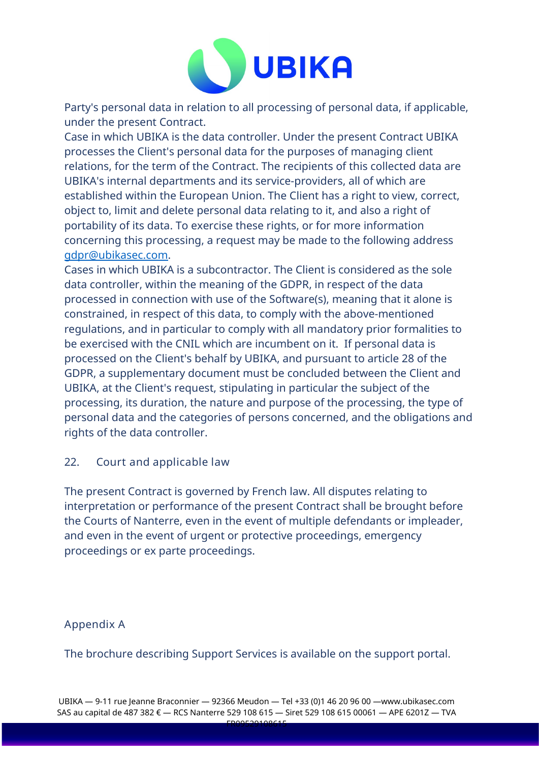

Party's personal data in relation to all processing of personal data, if applicable, under the present Contract.

Case in which UBIKA is the data controller. Under the present Contract UBIKA processes the Client's personal data for the purposes of managing client relations, for the term of the Contract. The recipients of this collected data are UBIKA's internal departments and its service-providers, all of which are established within the European Union. The Client has a right to view, correct, object to, limit and delete personal data relating to it, and also a right of portability of its data. To exercise these rights, or for more information concerning this processing, a request may be made to the following address [gdpr@ubikasec.com.](mailto:gdpr@ubikasec.com)

Cases in which UBIKA is a subcontractor. The Client is considered as the sole data controller, within the meaning of the GDPR, in respect of the data processed in connection with use of the Software(s), meaning that it alone is constrained, in respect of this data, to comply with the above-mentioned regulations, and in particular to comply with all mandatory prior formalities to be exercised with the CNIL which are incumbent on it. If personal data is processed on the Client's behalf by UBIKA, and pursuant to article 28 of the GDPR, a supplementary document must be concluded between the Client and UBIKA, at the Client's request, stipulating in particular the subject of the processing, its duration, the nature and purpose of the processing, the type of personal data and the categories of persons concerned, and the obligations and rights of the data controller.

#### 22. Court and applicable law

The present Contract is governed by French law. All disputes relating to interpretation or performance of the present Contract shall be brought before the Courts of Nanterre, even in the event of multiple defendants or impleader, and even in the event of urgent or protective proceedings, emergency proceedings or ex parte proceedings.

### Appendix A

The brochure describing Support Services is available on the support portal.